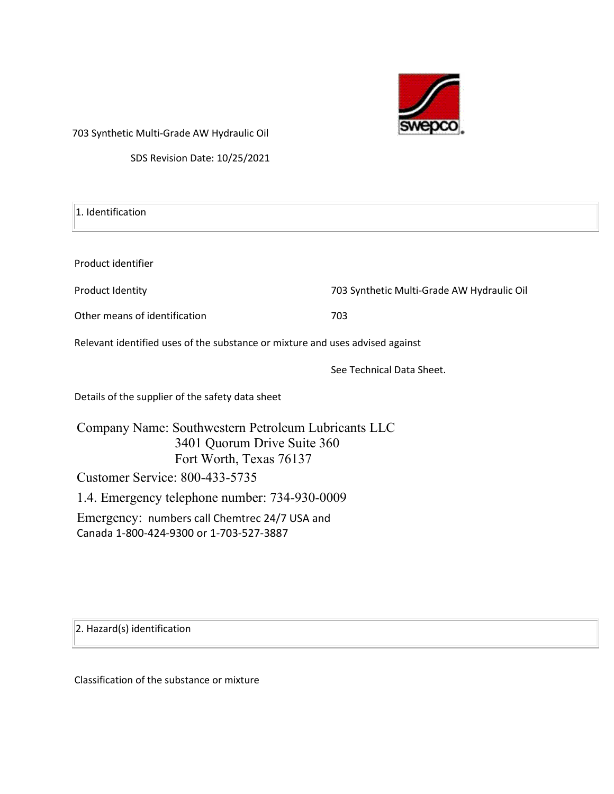

703 Synthetic Multi-Grade AW Hydraulic Oil

SDS Revision Date: 10/25/2021

| 1. Identification                                                                                             |                                            |  |  |  |
|---------------------------------------------------------------------------------------------------------------|--------------------------------------------|--|--|--|
|                                                                                                               |                                            |  |  |  |
| Product identifier                                                                                            |                                            |  |  |  |
| Product Identity                                                                                              | 703 Synthetic Multi-Grade AW Hydraulic Oil |  |  |  |
| Other means of identification                                                                                 | 703                                        |  |  |  |
| Relevant identified uses of the substance or mixture and uses advised against                                 |                                            |  |  |  |
|                                                                                                               | See Technical Data Sheet.                  |  |  |  |
| Details of the supplier of the safety data sheet                                                              |                                            |  |  |  |
| Company Name: Southwestern Petroleum Lubricants LLC<br>3401 Quorum Drive Suite 360<br>Fort Worth, Texas 76137 |                                            |  |  |  |
| <b>Customer Service: 800-433-5735</b>                                                                         |                                            |  |  |  |

1.4. Emergency telephone number: 734-930-0009

Emergency: numbers call Chemtrec 24/7 USA and Canada 1-800-424-9300 or 1-703-527-3887

2. Hazard(s) identification

Classification of the substance or mixture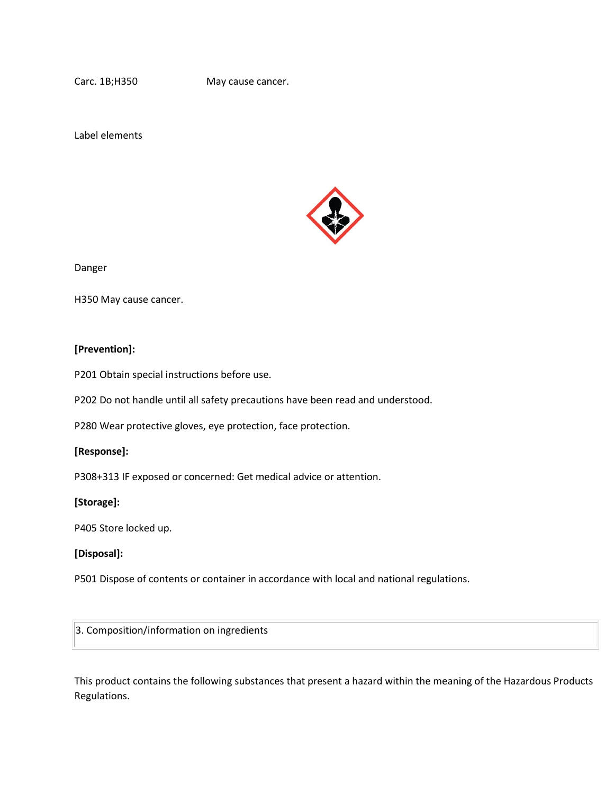Carc. 1B;H350 May cause cancer.

Label elements



Danger

H350 May cause cancer.

#### **[Prevention]:**

P201 Obtain special instructions before use.

P202 Do not handle until all safety precautions have been read and understood.

P280 Wear protective gloves, eye protection, face protection.

#### **[Response]:**

P308+313 IF exposed or concerned: Get medical advice or attention.

#### **[Storage]:**

P405 Store locked up.

#### **[Disposal]:**

P501 Dispose of contents or container in accordance with local and national regulations.

3. Composition/information on ingredients

This product contains the following substances that present a hazard within the meaning of the Hazardous Products Regulations.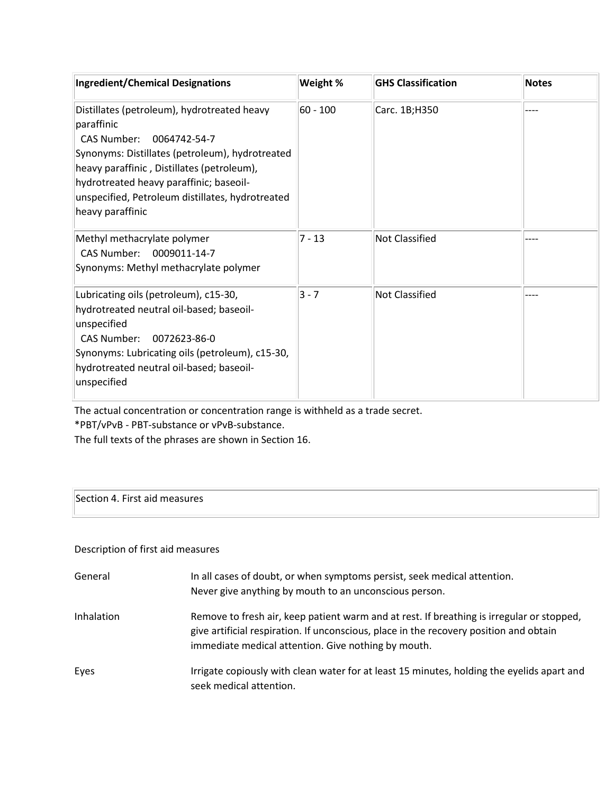| <b>Ingredient/Chemical Designations</b>                                                                                                                                                                                                                                                                             | Weight %   | <b>GHS Classification</b> | <b>Notes</b> |
|---------------------------------------------------------------------------------------------------------------------------------------------------------------------------------------------------------------------------------------------------------------------------------------------------------------------|------------|---------------------------|--------------|
| Distillates (petroleum), hydrotreated heavy<br>paraffinic<br><b>CAS Number:</b><br>0064742-54-7<br>Synonyms: Distillates (petroleum), hydrotreated<br>heavy paraffinic, Distillates (petroleum),<br>hydrotreated heavy paraffinic; baseoil-<br>unspecified, Petroleum distillates, hydrotreated<br>heavy paraffinic | $60 - 100$ | Carc. 1B;H350             |              |
| Methyl methacrylate polymer<br>CAS Number:<br>0009011-14-7<br>Synonyms: Methyl methacrylate polymer                                                                                                                                                                                                                 | $7 - 13$   | <b>Not Classified</b>     |              |
| Lubricating oils (petroleum), c15-30,<br>hydrotreated neutral oil-based; baseoil-<br>unspecified<br>0072623-86-0<br><b>CAS Number:</b><br>Synonyms: Lubricating oils (petroleum), c15-30,<br>hydrotreated neutral oil-based; baseoil-<br>unspecified                                                                | $3 - 7$    | Not Classified            |              |

The actual concentration or concentration range is withheld as a trade secret.

\*PBT/vPvB - PBT-substance or vPvB-substance.

The full texts of the phrases are shown in Section 16.

# Section 4. First aid measures

# Description of first aid measures

| General    | In all cases of doubt, or when symptoms persist, seek medical attention.<br>Never give anything by mouth to an unconscious person.                                                                                                         |
|------------|--------------------------------------------------------------------------------------------------------------------------------------------------------------------------------------------------------------------------------------------|
| Inhalation | Remove to fresh air, keep patient warm and at rest. If breathing is irregular or stopped,<br>give artificial respiration. If unconscious, place in the recovery position and obtain<br>immediate medical attention. Give nothing by mouth. |
| Eyes       | Irrigate copiously with clean water for at least 15 minutes, holding the eyelids apart and<br>seek medical attention.                                                                                                                      |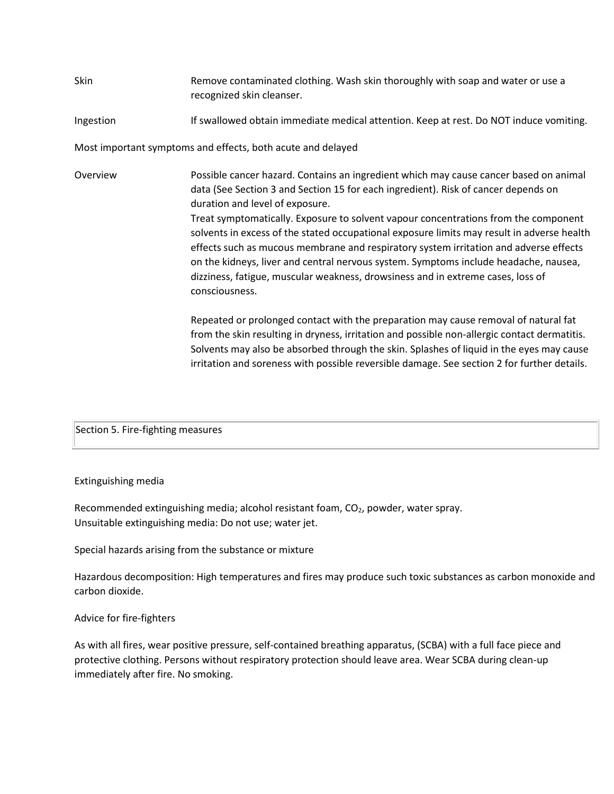## Skin **Remove contaminated clothing.** Wash skin thoroughly with soap and water or use a recognized skin cleanser.

### Ingestion If swallowed obtain immediate medical attention. Keep at rest. Do NOT induce vomiting.

Most important symptoms and effects, both acute and delayed

Overview Possible cancer hazard. Contains an ingredient which may cause cancer based on animal data (See Section 3 and Section 15 for each ingredient). Risk of cancer depends on duration and level of exposure. Treat symptomatically. Exposure to solvent vapour concentrations from the component solvents in excess of the stated occupational exposure limits may result in adverse health effects such as mucous membrane and respiratory system irritation and adverse effects on the kidneys, liver and central nervous system. Symptoms include headache, nausea, dizziness, fatigue, muscular weakness, drowsiness and in extreme cases, loss of consciousness.

> Repeated or prolonged contact with the preparation may cause removal of natural fat from the skin resulting in dryness, irritation and possible non-allergic contact dermatitis. Solvents may also be absorbed through the skin. Splashes of liquid in the eyes may cause irritation and soreness with possible reversible damage. See section 2 for further details.

#### Section 5. Fire-fighting measures

#### Extinguishing media

Recommended extinguishing media; alcohol resistant foam, CO<sub>2</sub>, powder, water spray. Unsuitable extinguishing media: Do not use; water jet.

Special hazards arising from the substance or mixture

Hazardous decomposition: High temperatures and fires may produce such toxic substances as carbon monoxide and carbon dioxide.

#### Advice for fire-fighters

As with all fires, wear positive pressure, self-contained breathing apparatus, (SCBA) with a full face piece and protective clothing. Persons without respiratory protection should leave area. Wear SCBA during clean-up immediately after fire. No smoking.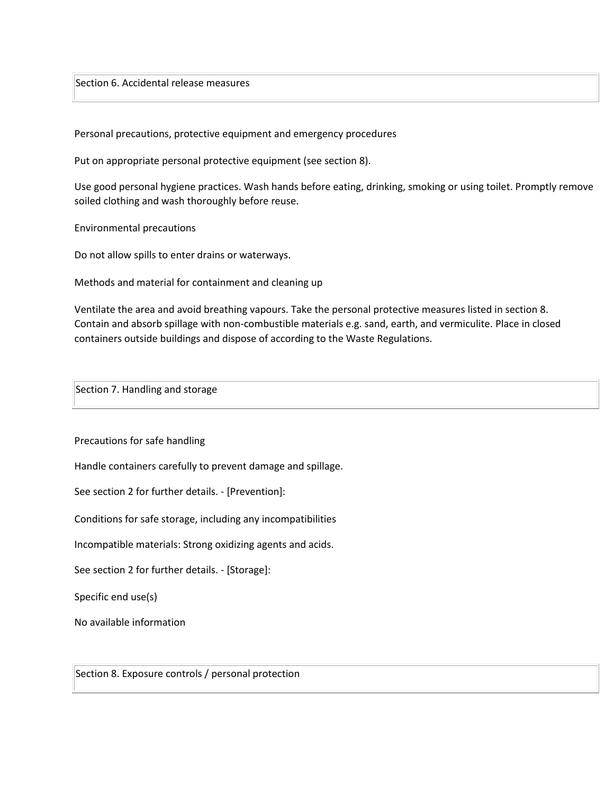Section 6. Accidental release measures

Personal precautions, protective equipment and emergency procedures

Put on appropriate personal protective equipment (see section 8).

Use good personal hygiene practices. Wash hands before eating, drinking, smoking or using toilet. Promptly remove soiled clothing and wash thoroughly before reuse.

Environmental precautions

Do not allow spills to enter drains or waterways.

Methods and material for containment and cleaning up

Ventilate the area and avoid breathing vapours. Take the personal protective measures listed in section 8. Contain and absorb spillage with non-combustible materials e.g. sand, earth, and vermiculite. Place in closed containers outside buildings and dispose of according to the Waste Regulations.

Section 7. Handling and storage

Precautions for safe handling

Handle containers carefully to prevent damage and spillage.

See section 2 for further details. - [Prevention]:

Conditions for safe storage, including any incompatibilities

Incompatible materials: Strong oxidizing agents and acids.

See section 2 for further details. - [Storage]:

Specific end use(s)

No available information

Section 8. Exposure controls / personal protection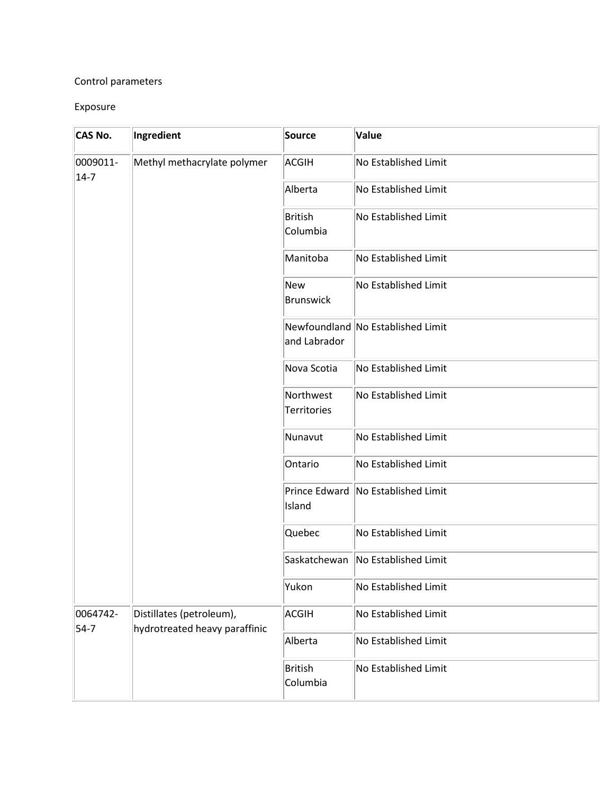# Control parameters

## Exposure

| <b>CAS No.</b>       | Ingredient                                                | Source                          | Value                              |
|----------------------|-----------------------------------------------------------|---------------------------------|------------------------------------|
| 0009011-<br>$14 - 7$ | Methyl methacrylate polymer                               | <b>ACGIH</b>                    | No Established Limit               |
|                      |                                                           | Alberta                         | <b>No Established Limit</b>        |
|                      |                                                           | British<br>Columbia             | No Established Limit               |
|                      |                                                           | Manitoba                        | No Established Limit               |
|                      |                                                           | New<br>Brunswick                | No Established Limit               |
|                      |                                                           | and Labrador                    | Newfoundland No Established Limit  |
|                      | Nova Scotia                                               | <b>No Established Limit</b>     |                                    |
|                      |                                                           | Northwest<br><b>Territories</b> | No Established Limit               |
|                      |                                                           | Nunavut                         | No Established Limit               |
|                      |                                                           | Ontario                         | No Established Limit               |
|                      |                                                           | Island                          | Prince Edward No Established Limit |
|                      |                                                           | Quebec                          | No Established Limit               |
|                      |                                                           |                                 | Saskatchewan No Established Limit  |
|                      |                                                           | Yukon                           | No Established Limit               |
| 0064742-<br>$54-7$   | Distillates (petroleum),<br>hydrotreated heavy paraffinic | <b>ACGIH</b>                    | No Established Limit               |
|                      |                                                           | Alberta                         | No Established Limit               |
|                      |                                                           | British<br>Columbia             | No Established Limit               |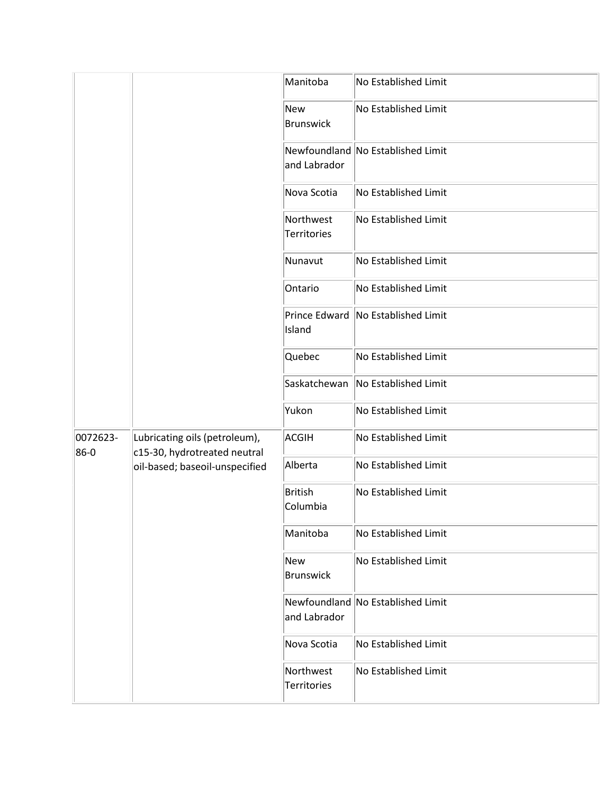|                  |                                                               | Manitoba                          | No Established Limit               |
|------------------|---------------------------------------------------------------|-----------------------------------|------------------------------------|
|                  |                                                               | New<br>Brunswick                  | No Established Limit               |
|                  |                                                               | and Labrador                      | Newfoundland No Established Limit  |
|                  |                                                               | Nova Scotia                       | No Established Limit               |
|                  |                                                               | Northwest<br><b>Territories</b>   | No Established Limit               |
|                  |                                                               | Nunavut                           | No Established Limit               |
|                  |                                                               | Ontario                           | No Established Limit               |
|                  |                                                               | Island                            | Prince Edward No Established Limit |
|                  |                                                               | Quebec                            | No Established Limit               |
|                  |                                                               | Saskatchewan No Established Limit |                                    |
|                  |                                                               | Yukon                             | No Established Limit               |
| 0072623-<br>86-0 | Lubricating oils (petroleum),<br>c15-30, hydrotreated neutral | ACGIH                             | No Established Limit               |
|                  | oil-based; baseoil-unspecified                                | Alberta                           | No Established Limit               |
|                  |                                                               | British<br>Columbia               | No Established Limit               |
|                  |                                                               | Manitoba                          | No Established Limit               |
|                  |                                                               | New<br>Brunswick                  | No Established Limit               |
|                  |                                                               | and Labrador                      | Newfoundland No Established Limit  |
|                  |                                                               | Nova Scotia                       | No Established Limit               |
|                  |                                                               | Northwest<br>Territories          | No Established Limit               |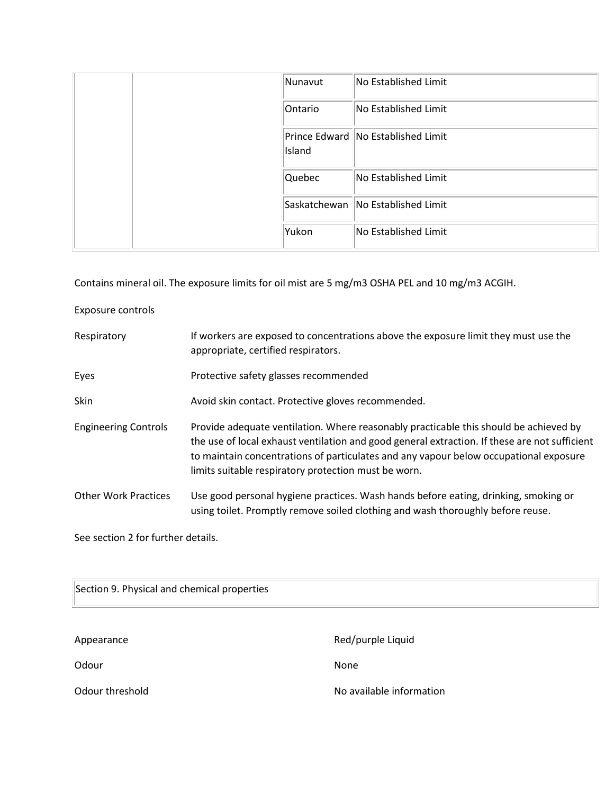| Nunavut | No Established Limit               |
|---------|------------------------------------|
| Ontario | No Established Limit               |
| Island  | Prince Edward No Established Limit |
| Quebec  | No Established Limit               |
|         | Saskatchewan No Established Limit  |
| Yukon   | No Established Limit               |

Contains mineral oil. The exposure limits for oil mist are 5 mg/m3 OSHA PEL and 10 mg/m3 ACGIH.

Exposure controls

| Respiratory                 | If workers are exposed to concentrations above the exposure limit they must use the<br>appropriate, certified respirators.                                                                                                                                                                                                              |
|-----------------------------|-----------------------------------------------------------------------------------------------------------------------------------------------------------------------------------------------------------------------------------------------------------------------------------------------------------------------------------------|
| Eyes                        | Protective safety glasses recommended                                                                                                                                                                                                                                                                                                   |
| Skin                        | Avoid skin contact. Protective gloves recommended.                                                                                                                                                                                                                                                                                      |
| <b>Engineering Controls</b> | Provide adequate ventilation. Where reasonably practicable this should be achieved by<br>the use of local exhaust ventilation and good general extraction. If these are not sufficient<br>to maintain concentrations of particulates and any vapour below occupational exposure<br>limits suitable respiratory protection must be worn. |
| <b>Other Work Practices</b> | Use good personal hygiene practices. Wash hands before eating, drinking, smoking or<br>using toilet. Promptly remove soiled clothing and wash thoroughly before reuse.                                                                                                                                                                  |

See section 2 for further details.

| Section 9. Physical and chemical properties |                          |  |  |  |
|---------------------------------------------|--------------------------|--|--|--|
| Appearance                                  | Red/purple Liquid        |  |  |  |
| Odour                                       | None                     |  |  |  |
| Odour threshold                             | No available information |  |  |  |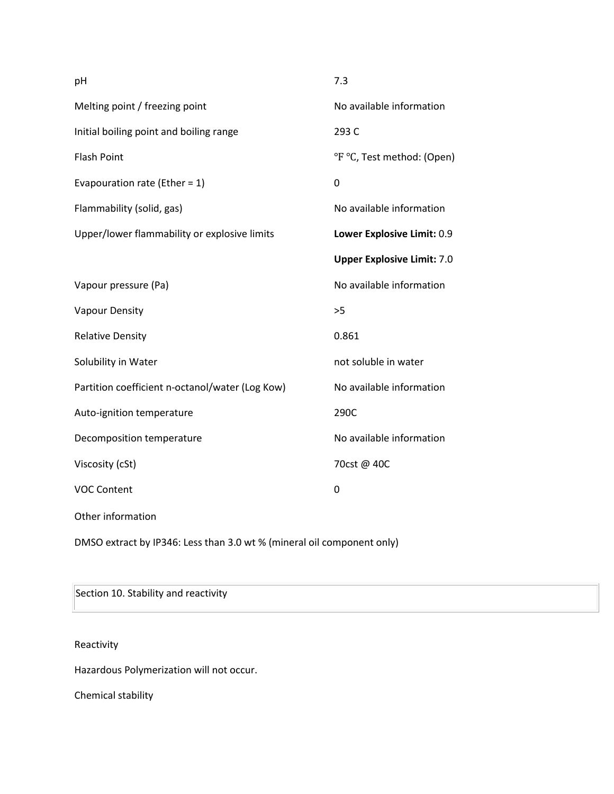| pH                                              | 7.3                               |
|-------------------------------------------------|-----------------------------------|
| Melting point / freezing point                  | No available information          |
| Initial boiling point and boiling range         | 293 C                             |
| <b>Flash Point</b>                              | °F °C, Test method: (Open)        |
| Evapouration rate (Ether = $1$ )                | $\mathbf 0$                       |
| Flammability (solid, gas)                       | No available information          |
| Upper/lower flammability or explosive limits    | Lower Explosive Limit: 0.9        |
|                                                 | <b>Upper Explosive Limit: 7.0</b> |
| Vapour pressure (Pa)                            | No available information          |
| Vapour Density                                  | >5                                |
| <b>Relative Density</b>                         | 0.861                             |
| Solubility in Water                             | not soluble in water              |
| Partition coefficient n-octanol/water (Log Kow) | No available information          |
| Auto-ignition temperature                       | 290C                              |
| Decomposition temperature                       | No available information          |
| Viscosity (cSt)                                 | 70cst @ 40C                       |
| <b>VOC Content</b>                              | 0                                 |
| Other information                               |                                   |
|                                                 |                                   |

DMSO extract by IP346: Less than 3.0 wt % (mineral oil component only)

# Section 10. Stability and reactivity

# Reactivity

Hazardous Polymerization will not occur.

Chemical stability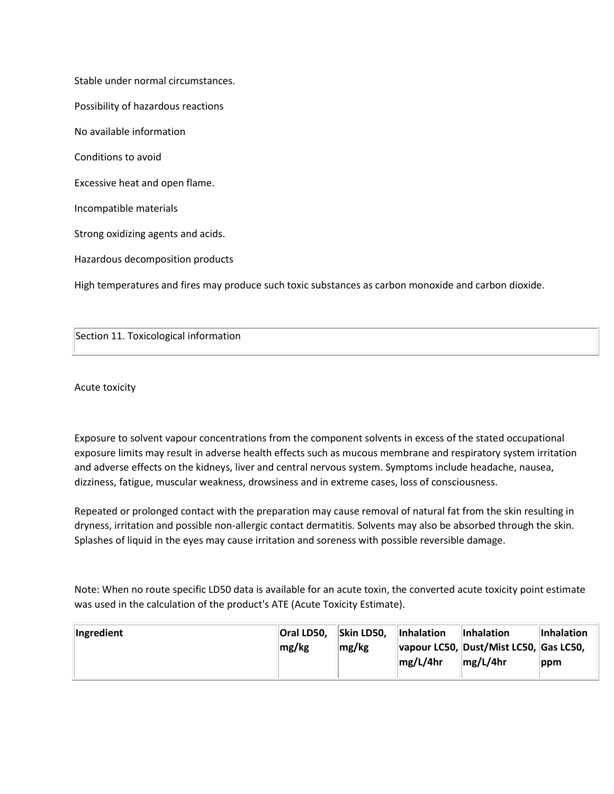Stable under normal circumstances.

Possibility of hazardous reactions

No available information

Conditions to avoid

Excessive heat and open flame.

Incompatible materials

Strong oxidizing agents and acids.

Hazardous decomposition products

High temperatures and fires may produce such toxic substances as carbon monoxide and carbon dioxide.

Section 11. Toxicological information

Acute toxicity

Exposure to solvent vapour concentrations from the component solvents in excess of the stated occupational exposure limits may result in adverse health effects such as mucous membrane and respiratory system irritation and adverse effects on the kidneys, liver and central nervous system. Symptoms include headache, nausea, dizziness, fatigue, muscular weakness, drowsiness and in extreme cases, loss of consciousness.

Repeated or prolonged contact with the preparation may cause removal of natural fat from the skin resulting in dryness, irritation and possible non-allergic contact dermatitis. Solvents may also be absorbed through the skin. Splashes of liquid in the eyes may cause irritation and soreness with possible reversible damage.

Note: When no route specific LD50 data is available for an acute toxin, the converted acute toxicity point estimate was used in the calculation of the product's ATE (Acute Toxicity Estimate).

| <b>Ingredient</b> | Oral LD50, | Skin LD50, | <b>Inhalation</b> | <b>Inhalation</b>                      | Inhalation |
|-------------------|------------|------------|-------------------|----------------------------------------|------------|
|                   | mg/kg      | mg/kg      |                   | vapour LC50, Dust/Mist LC50, Gas LC50, |            |
|                   |            |            | mg/L/4hr          | mg/L/4hr                               | ppm        |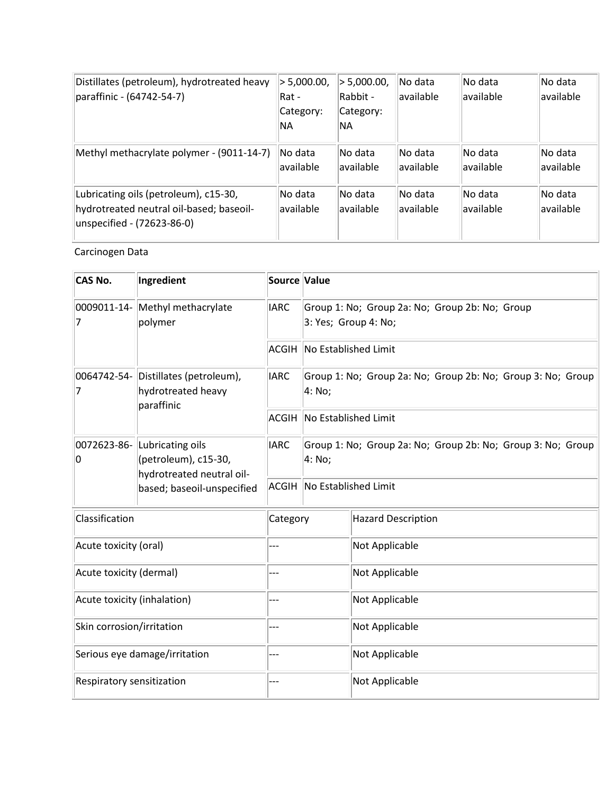| Distillates (petroleum), hydrotreated heavy<br>paraffinic - (64742-54-7)                                        | > 5,000.00,<br>Rat -<br>Category:<br>NA. | > 5,000.00,<br>Rabbit -<br>Category:<br>NA. | No data<br>available  | No data<br>lavailable | No data<br>available |
|-----------------------------------------------------------------------------------------------------------------|------------------------------------------|---------------------------------------------|-----------------------|-----------------------|----------------------|
| Methyl methacrylate polymer - (9011-14-7)                                                                       | No data<br>available                     | No data<br>available                        | No data<br>available  | No data<br>lavailable | No data<br>available |
| Lubricating oils (petroleum), c15-30,<br>hydrotreated neutral oil-based; baseoil-<br>unspecified - (72623-86-0) | No data<br>available                     | No data<br>available                        | No data<br>lavailable | No data<br>lavailable | No data<br>available |

# Carcinogen Data

| <b>CAS No.</b>                                                                                                        | Ingredient  | Source Value                                                          |                      |                                                                        |  |  |  |
|-----------------------------------------------------------------------------------------------------------------------|-------------|-----------------------------------------------------------------------|----------------------|------------------------------------------------------------------------|--|--|--|
| 0009011-14- Methyl methacrylate<br>polymer<br>7                                                                       |             | <b>IARC</b>                                                           |                      | Group 1: No; Group 2a: No; Group 2b: No; Group<br>3: Yes; Group 4: No; |  |  |  |
|                                                                                                                       |             | <b>ACGIH</b>                                                          | No Established Limit |                                                                        |  |  |  |
| 0064742-54- Distillates (petroleum),<br>hydrotreated heavy<br>7                                                       | paraffinic  | <b>IARC</b>                                                           | 4: No;               | Group 1: No; Group 2a: No; Group 2b: No; Group 3: No; Group            |  |  |  |
|                                                                                                                       |             | <b>ACGIH</b>                                                          | No Established Limit |                                                                        |  |  |  |
| 0072623-86- Lubricating oils<br>(petroleum), c15-30,<br>10<br>hydrotreated neutral oil-<br>based; baseoil-unspecified | <b>IARC</b> | Group 1: No; Group 2a: No; Group 2b: No; Group 3: No; Group<br>4: No; |                      |                                                                        |  |  |  |
|                                                                                                                       |             | <b>ACGIH</b>                                                          | No Established Limit |                                                                        |  |  |  |
| Classification                                                                                                        |             | Category                                                              |                      | Hazard Description                                                     |  |  |  |
| Acute toxicity (oral)                                                                                                 |             | ---                                                                   |                      | Not Applicable                                                         |  |  |  |
| Acute toxicity (dermal)                                                                                               |             | ---                                                                   |                      | Not Applicable                                                         |  |  |  |
| Acute toxicity (inhalation)                                                                                           |             | ---                                                                   |                      | Not Applicable                                                         |  |  |  |
| Skin corrosion/irritation                                                                                             |             | ---                                                                   |                      | Not Applicable                                                         |  |  |  |
| Serious eye damage/irritation                                                                                         |             | ---                                                                   |                      | Not Applicable                                                         |  |  |  |
| Respiratory sensitization                                                                                             |             | ---                                                                   |                      | Not Applicable                                                         |  |  |  |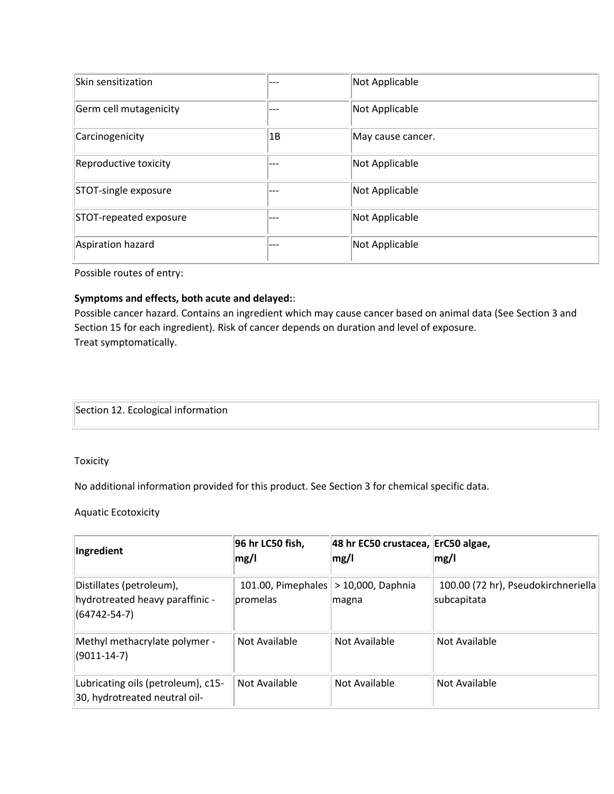| Skin sensitization     | --- | Not Applicable    |
|------------------------|-----|-------------------|
| Germ cell mutagenicity | --- | Not Applicable    |
| Carcinogenicity        | 1B  | May cause cancer. |
| Reproductive toxicity  | --- | Not Applicable    |
| STOT-single exposure   | --- | Not Applicable    |
| STOT-repeated exposure | --- | Not Applicable    |
| Aspiration hazard      | --- | Not Applicable    |

Possible routes of entry:

### **Symptoms and effects, both acute and delayed:**:

Possible cancer hazard. Contains an ingredient which may cause cancer based on animal data (See Section 3 and Section 15 for each ingredient). Risk of cancer depends on duration and level of exposure. Treat symptomatically.

Section 12. Ecological information

Toxicity

No additional information provided for this product. See Section 3 for chemical specific data.

Aquatic Ecotoxicity

| Ingredient                                                                        | 96 hr LC50 fish,<br>mg/l       | 48 hr EC50 crustacea, ErC50 algae,<br>mg/l | mg/l                                               |
|-----------------------------------------------------------------------------------|--------------------------------|--------------------------------------------|----------------------------------------------------|
| Distillates (petroleum),<br>hydrotreated heavy paraffinic -<br>$(64742 - 54 - 7)$ | 101.00, Pimephales<br>promelas | > 10,000, Daphnia<br>magna                 | 100.00 (72 hr), Pseudokirchneriella<br>subcapitata |
| Methyl methacrylate polymer -<br>$(9011 - 14 - 7)$                                | Not Available                  | Not Available                              | Not Available                                      |
| Lubricating oils (petroleum), c15-<br>30, hydrotreated neutral oil-               | Not Available                  | Not Available                              | Not Available                                      |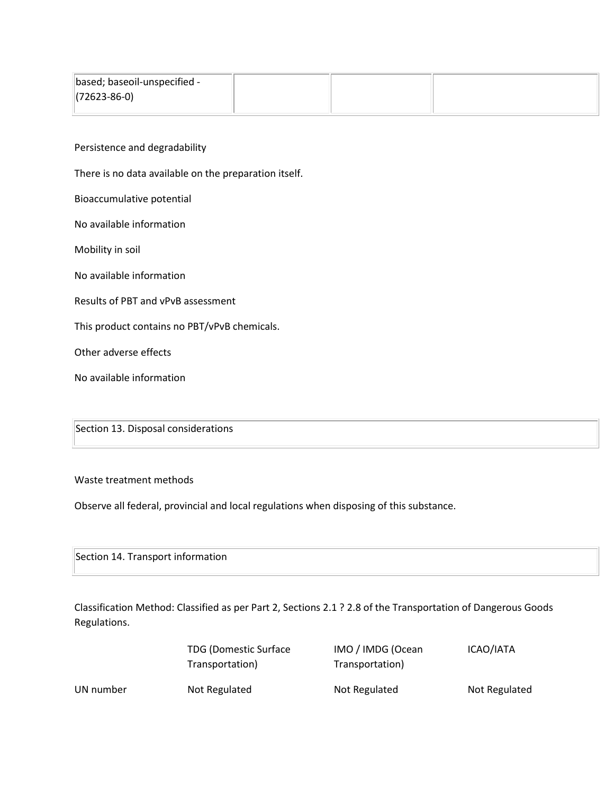| based; baseoil-unspecified - |  |  |
|------------------------------|--|--|
| $(72623 - 86 - 0)$           |  |  |

Persistence and degradability

There is no data available on the preparation itself.

Bioaccumulative potential

No available information

Mobility in soil

No available information

Results of PBT and vPvB assessment

This product contains no PBT/vPvB chemicals.

Other adverse effects

No available information

Section 13. Disposal considerations

Waste treatment methods

Observe all federal, provincial and local regulations when disposing of this substance.

Section 14. Transport information

Classification Method: Classified as per Part 2, Sections 2.1 ? 2.8 of the Transportation of Dangerous Goods Regulations.

|           | <b>TDG (Domestic Surface)</b> | IMO / IMDG (Ocean | ICAO/IATA     |
|-----------|-------------------------------|-------------------|---------------|
|           | Transportation)               | Transportation)   |               |
| UN number | Not Regulated                 | Not Regulated     | Not Regulated |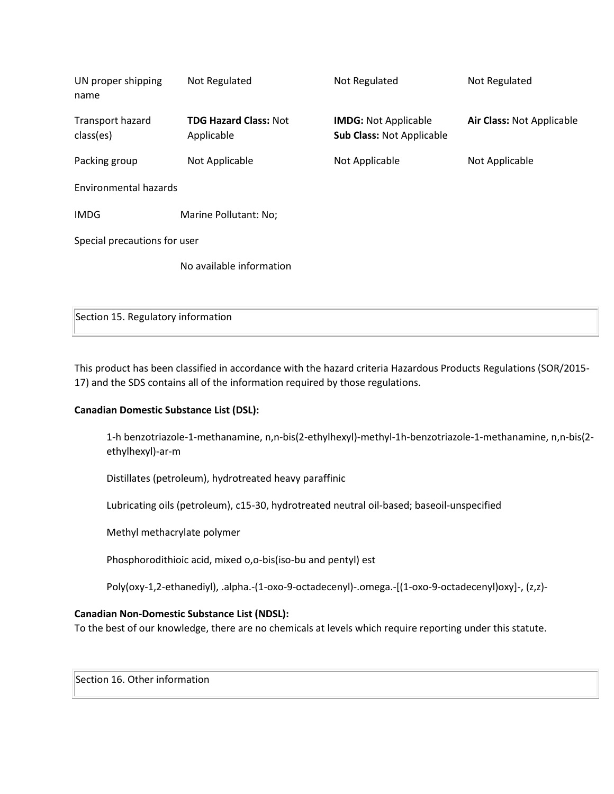| UN proper shipping<br>name    | Not Regulated                              | Not Regulated                                                   | Not Regulated             |  |
|-------------------------------|--------------------------------------------|-----------------------------------------------------------------|---------------------------|--|
| Transport hazard<br>class(es) | <b>TDG Hazard Class: Not</b><br>Applicable | <b>IMDG: Not Applicable</b><br><b>Sub Class: Not Applicable</b> | Air Class: Not Applicable |  |
| Packing group                 | Not Applicable                             | Not Applicable                                                  | Not Applicable            |  |
| Environmental hazards         |                                            |                                                                 |                           |  |
| <b>IMDG</b>                   | Marine Pollutant: No;                      |                                                                 |                           |  |
| Special precautions for user  |                                            |                                                                 |                           |  |
|                               | No available information                   |                                                                 |                           |  |
|                               |                                            |                                                                 |                           |  |

Section 15. Regulatory information

This product has been classified in accordance with the hazard criteria Hazardous Products Regulations (SOR/2015- 17) and the SDS contains all of the information required by those regulations.

## **Canadian Domestic Substance List (DSL):**

1-h benzotriazole-1-methanamine, n,n-bis(2-ethylhexyl)-methyl-1h-benzotriazole-1-methanamine, n,n-bis(2 ethylhexyl)-ar-m

Distillates (petroleum), hydrotreated heavy paraffinic

Lubricating oils (petroleum), c15-30, hydrotreated neutral oil-based; baseoil-unspecified

Methyl methacrylate polymer

Phosphorodithioic acid, mixed o,o-bis(iso-bu and pentyl) est

Poly(oxy-1,2-ethanediyl), .alpha.-(1-oxo-9-octadecenyl)-.omega.-[(1-oxo-9-octadecenyl)oxy]-, (z,z)-

### **Canadian Non-Domestic Substance List (NDSL):**

To the best of our knowledge, there are no chemicals at levels which require reporting under this statute.

Section 16. Other information